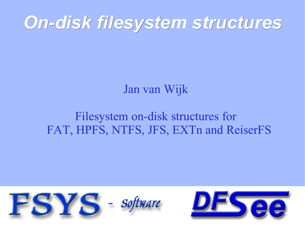# *On-disk filesystem structures*

#### Jan van Wijk

#### Filesystem on-disk structures for FAT, HPFS, NTFS, JFS, EXTn and ReiserFS



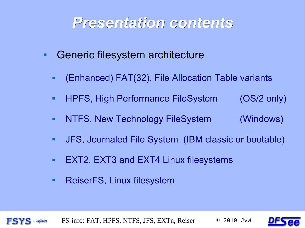#### *Presentation contents*

- **Generic filesystem architecture** 
	- (Enhanced) FAT(32), File Allocation Table variants
	- HPFS, High Performance FileSystem (OS/2 only)
	- NTFS, New Technology FileSystem (Windows)
	- JFS, Journaled File System (IBM classic or bootable)
	- **EXT2, EXT3 and EXT4 Linux filesystems**
	- **ReiserFS, Linux filesystem**

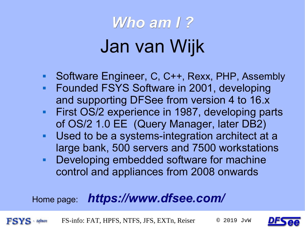# *Who am I ?* Jan van Wijk

- Software Engineer, C, C++, Rexx, PHP, Assembly
- Founded FSYS Software in 2001, developing and supporting DFSee from version 4 to 16.x
- **First OS/2 experience in 1987, developing parts** of OS/2 1.0 EE (Query Manager, later DB2)
- Used to be a systems-integration architect at a large bank, 500 servers and 7500 workstations
- **Developing embedded software for machine** control and appliances from 2008 onwards

#### Home page: *<https://www.dfsee.com/>*

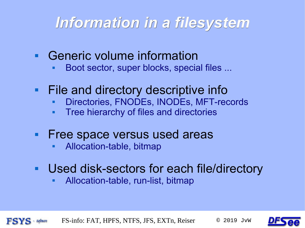## *Information in a filesystem*

- Generic volume information
	- Boot sector, super blocks, special files ...
- **File and directory descriptive inform** 
	- Directories, FNODEs, INODEs, MFT-records
	- Tree hierarchy of files and directories
- Free space versus used areas
	- Allocation-table, bitmap
- Used disk-sectors for each file/directory
	- Allocation-table, run-list, bitmap

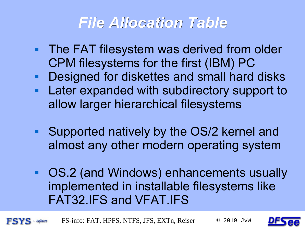## *File Allocation Table*

- **The FAT filesystem was derived from older** CPM filesystems for the first (IBM) PC
- Designed for diskettes and small hard disks
- Later expanded with subdirectory support to allow larger hierarchical filesystems
- Supported natively by the OS/2 kernel and almost any other modern operating system
- OS.2 (and Windows) enhancements usually implemented in installable filesystems like FAT32.IFS and VFAT.IFS

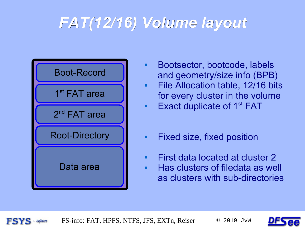## *FAT(12/16) Volume layout*



- **Bootsector, bootcode, labels** and geometry/size info (BPB)
- **File Allocation table, 12/16 bits** for every cluster in the volume
- Exact duplicate of  $1<sup>st</sup> FAT$
- **Fixed size, fixed position**
- **First data located at cluster 2**
- Has clusters of filedata as well as clusters with sub-directories

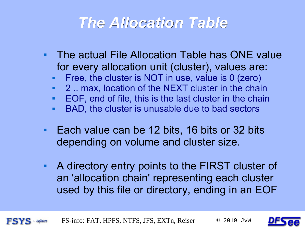#### *The Allocation Table*

- The actual File Allocation Table has ONE value for every allocation unit (cluster), values are:
	- Free, the cluster is NOT in use, value is 0 (zero)
	- 2 .. max, location of the NEXT cluster in the chain
	- EOF, end of file, this is the last cluster in the chain
	- BAD, the cluster is unusable due to bad sectors
- Each value can be 12 bits, 16 bits or 32 bits depending on volume and cluster size.
- A directory entry points to the FIRST cluster of an 'allocation chain' representing each cluster used by this file or directory, ending in an EOF

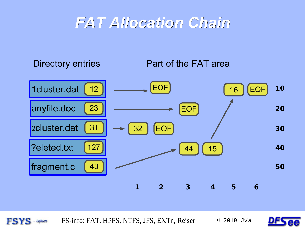#### *FAT Allocation Chain*

Directory entries **Part of the FAT area** 





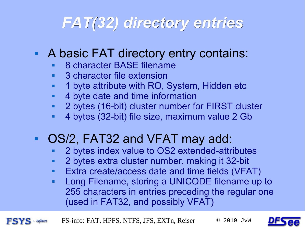## *FAT(32) directory entries*

#### A basic FAT directory entry contains:

- 8 character BASE filename
- 3 character file extension
- 1 byte attribute with RO, System, Hidden etc
- 4 byte date and time information
- 2 bytes (16-bit) cluster number for FIRST cluster
- 4 bytes (32-bit) file size, maximum value 2 Gb

#### OS/2, FAT32 and VFAT may add:

- 2 bytes index value to OS2 extended-attributes
- 2 bytes extra cluster number, making it 32-bit
- Extra create/access date and time fields (VFAT)
- Long Filename, storing a UNICODE filename up to 255 characters in entries preceding the regular one (used in FAT32, and possibly VFAT)

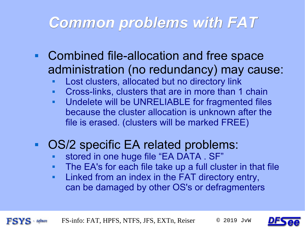#### *Common problems with FAT*

- Combined file-allocation and free space administration (no redundancy) may cause:
	- Lost clusters, allocated but no directory link
	- Cross-links, clusters that are in more than 1 chain
	- Undelete will be UNRELIABLE for fragmented files because the cluster allocation is unknown after the file is erased. (clusters will be marked FREE)

#### ■ OS/2 specific EA related problems:

- stored in one huge file "EA DATA . SF"
- The EA's for each file take up a full cluster in that file
- Linked from an index in the FAT directory entry, can be damaged by other OS's or defragmenters

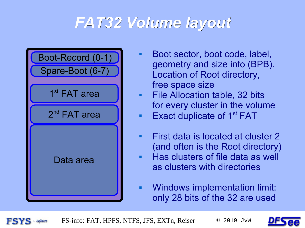## *FAT32 Volume layout*



- Boot sector, boot code, label, geometry and size info (BPB). Location of Root directory, free space size
- File Allocation table, 32 bits for every cluster in the volume
- Exact duplicate of  $1<sup>st</sup> FAT$
- **First data is located at cluster 2** (and often is the Root directory) Has clusters of file data as well
- as clusters with directories
- Windows implementation limit: only 28 bits of the 32 are used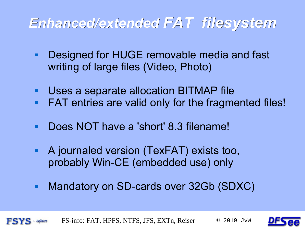#### *Enhanced/extended FAT filesystem*

- Designed for HUGE removable media and fast writing of large files (Video, Photo)
- Uses a separate allocation BITMAP file
- FAT entries are valid only for the fragmented files!
- Does NOT have a 'short' 8.3 filename!
- A journaled version (TexFAT) exists too, probably Win-CE (embedded use) only
- **Mandatory on SD-cards over 32Gb (SDXC)**

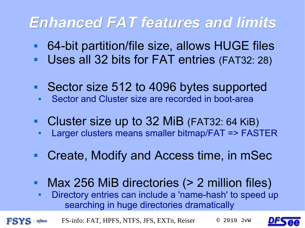## *Enhanced FAT features and limits*

- 64-bit partition/file size, allows HUGE files
- Uses all 32 bits for FAT entries (FAT32: 28)
- Sector size 512 to 4096 bytes supported
- Sector and Cluster size are recorded in boot-area
- **Cluster size up to 32 MiB (FAT32: 64 KiB)** 
	- Larger clusters means smaller bitmap/FAT => FASTER
- Create, Modify and Access time, in mSec
- Max 256 MiB directories (> 2 million files)
	- Directory entries can include a 'name-hash' to speed up searching in huge directories dramatically

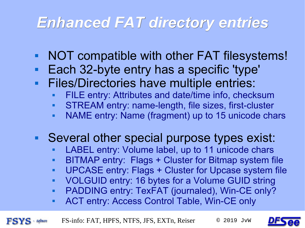## *Enhanced FAT directory entries*

- NOT compatible with other FAT filesystems!
- Each 32-byte entry has a specific 'type'
- Files/Directories have multiple entries:
	- FILE entry: Attributes and date/time info, checksum
	- STREAM entry: name-length, file sizes, first-cluster
	- NAME entry: Name (fragment) up to 15 unicode chars

#### Several other special purpose types exist:

- LABEL entry: Volume label, up to 11 unicode chars
- BITMAP entry: Flags + Cluster for Bitmap system file
- UPCASE entry: Flags + Cluster for Upcase system file
- VOLGUID entry: 16 bytes for a Volume GUID string
- PADDING entry: TexFAT (journaled), Win-CE only?
- **ACT entry: Access Control Table, Win-CE only**

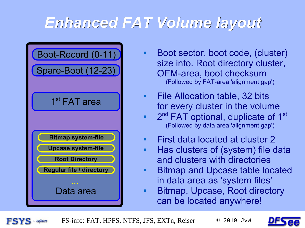## *Enhanced FAT Volume layout*



- Boot sector, boot code, (cluster) size info. Root directory cluster, OEM-area, boot checksum (Followed by FAT-area 'alignment gap')
- **File Allocation table, 32 bits** for every cluster in the volume
- $-2<sup>nd</sup>$  FAT optional, duplicate of 1<sup>st</sup> (Followed by data area 'alignment gap')
- **First data located at cluster 2**
- **Has clusters of (system) file data** and clusters with directories
- **Bitmap and Upcase table located** in data area as 'system files'
- **Bitmap, Upcase, Root directory** can be located anywhere!

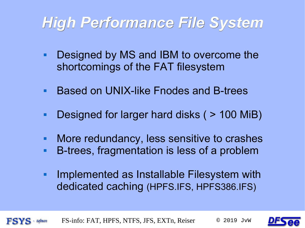#### *High Performance File System*

- **Designed by MS and IBM to overcome the** shortcomings of the FAT filesystem
- **Based on UNIX-like Fnodes and B-trees**
- Designed for larger hard disks ( > 100 MiB)
- **More redundancy, less sensitive to crashes**
- B-trees, fragmentation is less of a problem
- E Implemented as Installable Filesystem with dedicated caching (HPFS.IFS, HPFS386.IFS)



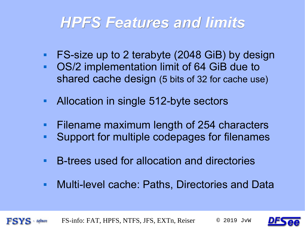#### *HPFS Features and limits*

- FS-size up to 2 terabyte (2048 GiB) by design
- OS/2 implementation limit of 64 GiB due to shared cache design (5 bits of 32 for cache use)
- Allocation in single 512-byte sectors
- Filename maximum length of 254 characters
- Support for multiple codepages for filenames
- B-trees used for allocation and directories
- **Multi-level cache: Paths, Directories and Data**



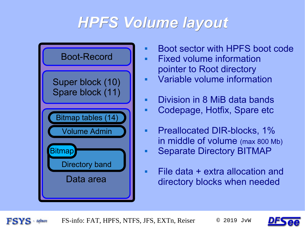## *HPFS Volume layout*



- **Boot sector with HPFS boot code**
- Fixed volume information pointer to Root directory
- Variable volume information
- Division in 8 MiB data bands
- Codepage, Hotfix, Spare etc
- **Preallocated DIR-blocks, 1%** in middle of volume (max 800 Mb)
- Separate Directory BITMAP
- File data + extra allocation and directory blocks when needed

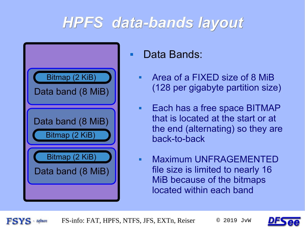## *HPFS data-bands layout*



**Data Bands:** 

- Area of a FIXED size of 8 MiB (128 per gigabyte partition size)
- **Each has a free space BITMAP** that is located at the start or at the end (alternating) so they are back-to-back
- Maximum UNFRAGEMENTED file size is limited to nearly 16 MiB because of the bitmaps located within each band

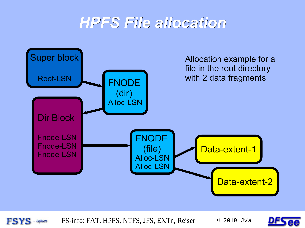#### *HPFS File allocation*



**FSYS** - Software

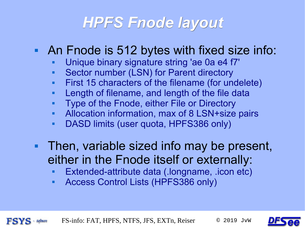#### *HPFS Fnode layout*

#### An Fnode is 512 bytes with fixed size info:

- Unique binary signature string 'ae 0a e4 f7'
- Sector number (LSN) for Parent directory
- First 15 characters of the filename (for undelete)
- **Length of filename, and length of the file data**
- Type of the Fnode, either File or Directory
- Allocation information, max of 8 LSN+size pairs
- DASD limits (user quota, HPFS386 only)
- Then, variable sized info may be present, either in the Fnode itself or externally:
	- Extended-attribute data (.longname, .icon etc)
	- Access Control Lists (HPFS386 only)

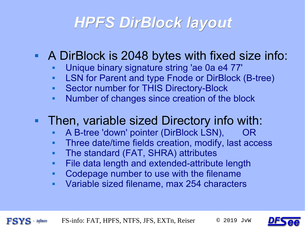#### *HPFS DirBlock layout*

#### A DirBlock is 2048 bytes with fixed size info:

- Unique binary signature string 'ae 0a e4 77'
- LSN for Parent and type Fnode or DirBlock (B-tree)
- **Sector number for THIS Directory-Block**
- Number of changes since creation of the block

#### **Then, variable sized Directory info with:**

- A B-tree 'down' pointer (DirBlock LSN), OR
- Three date/time fields creation, modify, last access
- The standard (FAT, SHRA) attributes
- File data length and extended-attribute length
- Codepage number to use with the filename
- Variable sized filename, max 254 characters



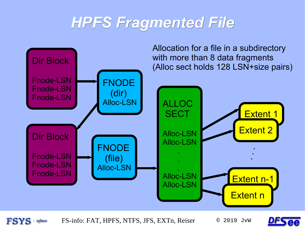#### *HPFS Fragmented File*



**FSYS** - Software

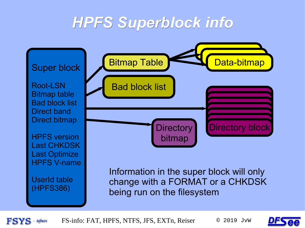#### *HPFS Superblock info*



FS-info: FAT, HPFS, NTFS, JFS, EXTn, Reiser © 2019 JvW

**FSYS** 

 $=$  Software

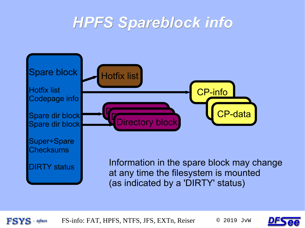#### *HPFS Spareblock info*





FS-info: FAT, HPFS, NTFS, JFS, EXTn, Reiser © 2019 JVW  $=$  Software

**FSYS**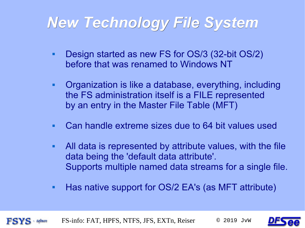## *New Technology File System*

- Design started as new FS for OS/3 (32-bit OS/2) before that was renamed to Windows NT
- Organization is like a database, everything, including the FS administration itself is a FILE represented by an entry in the Master File Table (MFT)
- Can handle extreme sizes due to 64 bit values used
- All data is represented by attribute values, with the file data being the 'default data attribute'. Supports multiple named data streams for a single file.
- **Has native support for OS/2 EA's (as MFT attribute)**



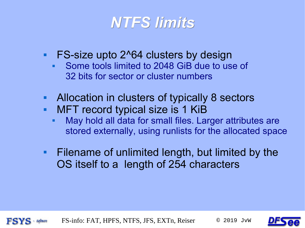

- **FS-size upto 2^64 clusters by design** 
	- Some tools limited to 2048 GiB due to use of 32 bits for sector or cluster numbers
- Allocation in clusters of typically 8 sectors
- **MFT record typical size is 1 KiB** 
	- May hold all data for small files. Larger attributes are stored externally, using runlists for the allocated space
- **Filename of unlimited length, but limited by the** OS itself to a length of 254 characters



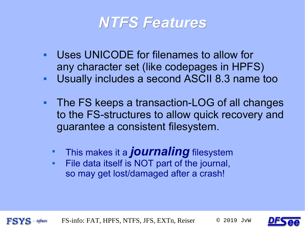

- Uses UNICODE for filenames to allow for any character set (like codepages in HPFS)
- Usually includes a second ASCII 8.3 name too
- The FS keeps a transaction-LOG of all changes to the FS-structures to allow quick recovery and guarantee a consistent filesystem.
	- This makes it a *journaling* filesystem
	- File data itself is NOT part of the journal, so may get lost/damaged after a crash!

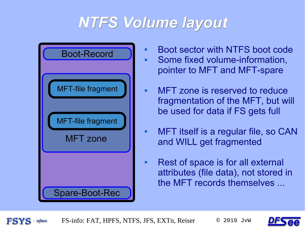## *NTFS Volume layout*



- **Boot sector with NTFS boot code**  Some fixed volume-information, pointer to MFT and MFT-spare
- MFT zone is reserved to reduce fragmentation of the MFT, but will be used for data if FS gets full
- MFT itself is a regular file, so CAN and WILL get fragmented
- Rest of space is for all external attributes (file data), not stored in the MFT records themselves ...

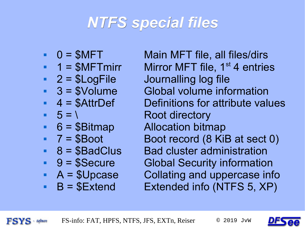#### *NTFS special files*

- 
- 
- 
- 
- 
- 

**FSYS** - Software

- 
- 
- 
- 
- 
- 

 $\bullet$  0 = \$MFT Main MFT file, all files/dirs  $1 = $M$ FTmirr Mirror MFT file, 1<sup>st</sup> 4 entries  $2 = $LogFile$  Journalling log file 3 = \$Volume Global volume information  $\blacksquare$  4 = \$AttrDef Definitions for attribute values  $5 = \sqrt{2}$ • 6 = \$Bitmap Allocation bitmap  $-7 = $$ Boot Boot record  $(8$  KiB at sect 0) • 8 = \$BadClus Bad cluster administration 9 = \$Secure Global Security information  $A = $Upc$ ase Collating and uppercase info  $B = $Extend$  Extended info (NTFS 5, XP)

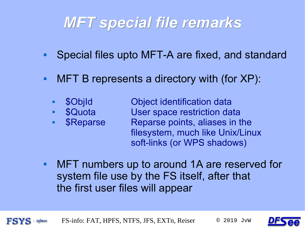## *MFT special file remarks*

- Special files upto MFT-A are fixed, and standard
- MFT B represents a directory with (for XP):
	- \$ObjId Object identification data **SQuota** User space restriction data \$Reparse Reparse points, aliases in the filesystem, much like Unix/Linux soft-links (or WPS shadows)
- MFT numbers up to around 1A are reserved for system file use by the FS itself, after that the first user files will appear



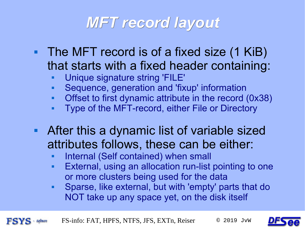#### *MFT record layout*

- The MFT record is of a fixed size (1 KiB) that starts with a fixed header containing:
	- Unique signature string 'FILE'
	- Sequence, generation and 'fixup' information
	- Offset to first dynamic attribute in the record (0x38)
	- Type of the MFT-record, either File or Directory
- **After this a dynamic list of variable sized** attributes follows, these can be either:
	- Ξ Internal (Self contained) when small
	- **External, using an allocation run-list pointing to one** or more clusters being used for the data
	- Sparse, like external, but with 'empty' parts that do NOT take up any space yet, on the disk itself

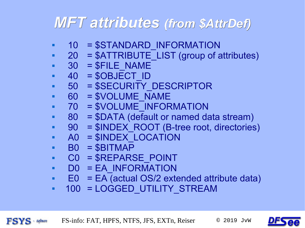#### *MFT attributes (from \$AttrDef)*

- 10 = \$STANDARD\_INFORMATION
- $20 = $ATTRIBUTE$  LIST (group of attributes)
- $-30$  =  $$FILE NAME$
- $-40$  =  $$OBIECT$  ID
- 50 = \$SECURITY\_DESCRIPTOR
- 60 = \$VOLUME\_NAME
- 70 = \$VOLUME INFORMATION
- 80 = \$DATA (default or named data stream)
- 90 = \$INDEX ROOT (B-tree root, directories)
- A0 = \$INDEX LOCATION
- $\bullet$  B0 = \$BITMAP

**FSYS** Software

- C0 = \$REPARSE\_POINT
- D0 = EA\_INFORMATION
- E0 = EA (actual OS/2 extended attribute data)
- $\blacksquare$  100 = LOGGED\_UTILITY\_STREAM

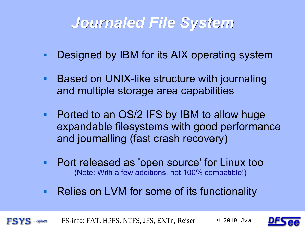#### *Journaled File System*

- **Designed by IBM for its AIX operating system**
- **Based on UNIX-like structure with journaling** and multiple storage area capabilities
- Ported to an OS/2 IFS by IBM to allow huge expandable filesystems with good performance and journalling (fast crash recovery)
- Port released as 'open source' for Linux too (Note: With a few additions, not 100% compatible!)
- **Relies on LVM for some of its functionality**



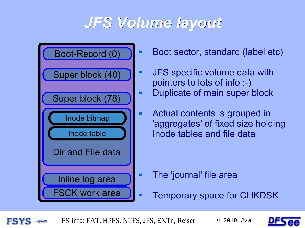#### *JFS Volume layout*



- **Boot sector, standard (label etc)**
- JFS specific volume data with pointers to lots of info :-) **Duplicate of main super block**
- Actual contents is grouped in 'aggregates' of fixed size holding Inode tables and file data

- The 'journal' file area
- **Temporary space for CHKDSK**

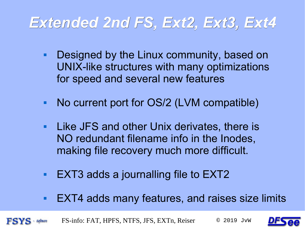## *Extended 2nd FS, Ext2, Ext3, Ext4*

- **Designed by the Linux community, based on** UNIX-like structures with many optimizations for speed and several new features
- No current port for OS/2 (LVM compatible)
- **Like JFS and other Unix derivates, there is** NO redundant filename info in the Inodes, making file recovery much more difficult.
- EXT3 adds a journalling file to EXT2
- EXT4 adds many features, and raises size limits

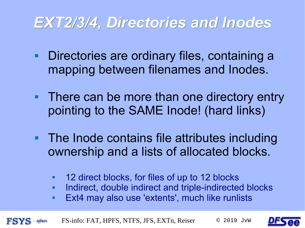#### *EXT2/3/4, Directories and Inodes*

- **Directories are ordinary files, containing a** mapping between filenames and Inodes.
- There can be more than one directory entry pointing to the SAME Inode! (hard links)
- **The Inode contains file attributes including** ownership and a lists of allocated blocks.
	- 12 direct blocks, for files of up to 12 blocks
	- Ξ Indirect, double indirect and triple-indirected blocks
	- Ext4 may also use 'extents', much like runlists



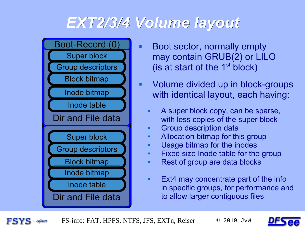#### *EXT2/3/4 Volume layout*



- **Boot sector, normally empty** may contain GRUB(2) or LILO (is at start of the  $1<sup>st</sup>$  block)
- Volume divided up in block-groups with identical layout, each having:
	- A super block copy, can be sparse, with less copies of the super block
	- Group description data
	- **Allocation bitmap for this group**
	- **Usage bitmap for the inodes**
	- **Fixed size Inode table for the group**
	- Rest of group are data blocks
	- **Ext4 may concentrate part of the inform** in specific groups, for performance and to allow larger contiguous files

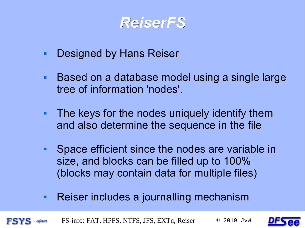

- **Designed by Hans Reiser**
- Based on a database model using a single large tree of information 'nodes'.
- **The keys for the nodes uniquely identify them** and also determine the sequence in the file
- **Space efficient since the nodes are variable in** size, and blocks can be filled up to 100% (blocks may contain data for multiple files)
- **Reiser includes a journalling mechanism**



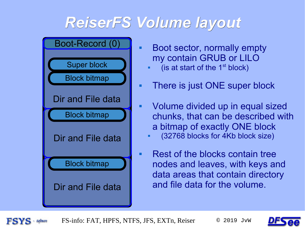#### *ReiserFS Volume layout*



- Boot sector, normally empty my contain GRUB or LILO
	- (is at start of the  $1<sup>st</sup>$  block)
- **There is just ONE super block**
- Volume divided up in equal sized chunks, that can be described with a bitmap of exactly ONE block
	- (32768 blocks for 4Kb block size)
- Rest of the blocks contain tree nodes and leaves, with keys and data areas that contain directory and file data for the volume.